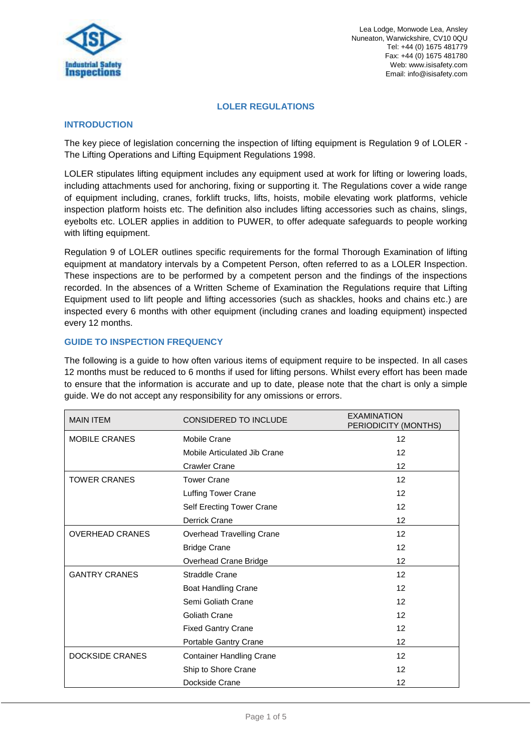

Lea Lodge, Monwode Lea, Ansley Nuneaton, Warwickshire, CV10 0QU Tel: +44 (0) 1675 481779 Fax: +44 (0) 1675 481780 Web: www.isisafety.com Email: info@isisafety.com

## **LOLER REGULATIONS**

## **INTRODUCTION**

The key piece of legislation concerning the inspection of lifting equipment is Regulation 9 of LOLER - The Lifting Operations and Lifting Equipment Regulations 1998.

LOLER stipulates lifting equipment includes any equipment used at work for lifting or lowering loads, including attachments used for anchoring, fixing or supporting it. The Regulations cover a wide range of equipment including, cranes, forklift trucks, lifts, hoists, mobile elevating work platforms, vehicle inspection platform hoists etc. The definition also includes lifting accessories such as chains, slings, eyebolts etc. LOLER applies in addition to PUWER, to offer adequate safeguards to people working with lifting equipment.

Regulation 9 of LOLER outlines specific requirements for the formal Thorough Examination of lifting equipment at mandatory intervals by a Competent Person, often referred to as a LOLER Inspection. These inspections are to be performed by a competent person and the findings of the inspections recorded. In the absences of a Written Scheme of Examination the Regulations require that Lifting Equipment used to lift people and lifting accessories (such as shackles, hooks and chains etc.) are inspected every 6 months with other equipment (including cranes and loading equipment) inspected every 12 months.

## **GUIDE TO INSPECTION FREQUENCY**

The following is a guide to how often various items of equipment require to be inspected. In all cases 12 months must be reduced to 6 months if used for lifting persons. Whilst every effort has been made to ensure that the information is accurate and up to date, please note that the chart is only a simple guide. We do not accept any responsibility for any omissions or errors.

| <b>MAIN ITEM</b>       | <b>CONSIDERED TO INCLUDE</b>    | <b>EXAMINATION</b><br>PERIODICITY (MONTHS) |
|------------------------|---------------------------------|--------------------------------------------|
| <b>MOBILE CRANES</b>   | <b>Mobile Crane</b>             | 12                                         |
|                        | Mobile Articulated Jib Crane    | 12                                         |
|                        | <b>Crawler Crane</b>            | 12                                         |
| <b>TOWER CRANES</b>    | <b>Tower Crane</b>              | 12                                         |
|                        | <b>Luffing Tower Crane</b>      | 12                                         |
|                        | Self Erecting Tower Crane       | 12                                         |
|                        | <b>Derrick Crane</b>            | 12                                         |
| <b>OVERHEAD CRANES</b> | Overhead Travelling Crane       | 12 <sup>2</sup>                            |
|                        | <b>Bridge Crane</b>             | 12                                         |
|                        | Overhead Crane Bridge           | 12                                         |
| <b>GANTRY CRANES</b>   | Straddle Crane                  | 12                                         |
|                        | <b>Boat Handling Crane</b>      | 12                                         |
|                        | Semi Goliath Crane              | 12                                         |
|                        | Goliath Crane                   | 12                                         |
|                        | <b>Fixed Gantry Crane</b>       | 12                                         |
|                        | Portable Gantry Crane           | 12                                         |
| <b>DOCKSIDE CRANES</b> | <b>Container Handling Crane</b> | 12                                         |
|                        | Ship to Shore Crane             | 12                                         |
|                        | Dockside Crane                  | 12                                         |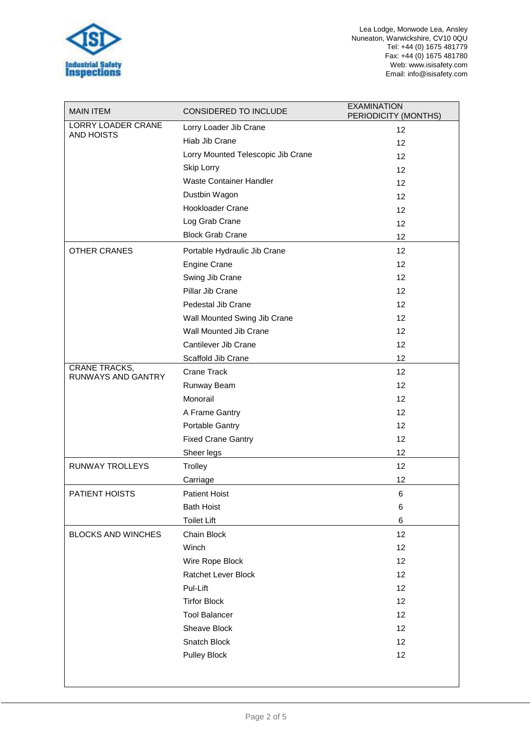

| <b>MAIN ITEM</b>                                  | CONSIDERED TO INCLUDE              | <b>EXAMINATION</b><br>PERIODICITY (MONTHS) |
|---------------------------------------------------|------------------------------------|--------------------------------------------|
| LORRY LOADER CRANE                                | Lorry Loader Jib Crane             | 12                                         |
| <b>AND HOISTS</b>                                 | Hiab Jib Crane                     | 12                                         |
|                                                   | Lorry Mounted Telescopic Jib Crane | 12                                         |
|                                                   | Skip Lorry                         | 12                                         |
|                                                   | Waste Container Handler            | 12                                         |
|                                                   | Dustbin Wagon                      | 12                                         |
|                                                   | <b>Hookloader Crane</b>            | 12                                         |
|                                                   | Log Grab Crane                     | 12                                         |
|                                                   | <b>Block Grab Crane</b>            | 12                                         |
| <b>OTHER CRANES</b>                               | Portable Hydraulic Jib Crane       | 12                                         |
|                                                   | <b>Engine Crane</b>                | 12                                         |
|                                                   | Swing Jib Crane                    | 12                                         |
|                                                   | Pillar Jib Crane                   | 12                                         |
|                                                   | Pedestal Jib Crane                 | 12                                         |
|                                                   | Wall Mounted Swing Jib Crane       | 12                                         |
|                                                   | Wall Mounted Jib Crane             | 12                                         |
|                                                   | Cantilever Jib Crane               | 12                                         |
|                                                   | Scaffold Jib Crane                 | 12                                         |
| <b>CRANE TRACKS,</b><br><b>RUNWAYS AND GANTRY</b> | Crane Track                        | 12                                         |
|                                                   | Runway Beam                        | 12                                         |
|                                                   | Monorail                           | 12                                         |
|                                                   | A Frame Gantry                     | 12                                         |
|                                                   | Portable Gantry                    | 12                                         |
|                                                   | <b>Fixed Crane Gantry</b>          | 12                                         |
|                                                   | Sheer legs                         | 12                                         |
| <b>RUNWAY TROLLEYS</b>                            | Trolley                            | 12                                         |
|                                                   | Carriage                           | 12                                         |
| <b>PATIENT HOISTS</b>                             | <b>Patient Hoist</b>               | 6                                          |
|                                                   | <b>Bath Hoist</b>                  | 6                                          |
|                                                   | <b>Toilet Lift</b>                 | 6                                          |
| <b>BLOCKS AND WINCHES</b>                         | Chain Block                        | 12                                         |
|                                                   | Winch                              | 12                                         |
|                                                   | Wire Rope Block                    | 12                                         |
|                                                   | <b>Ratchet Lever Block</b>         | 12                                         |
|                                                   | Pul-Lift                           | 12                                         |
|                                                   | <b>Tirfor Block</b>                | 12                                         |
|                                                   | <b>Tool Balancer</b>               | 12                                         |
|                                                   | Sheave Block                       | 12                                         |
|                                                   | Snatch Block                       | 12                                         |
|                                                   | Pulley Block                       | 12                                         |
|                                                   |                                    |                                            |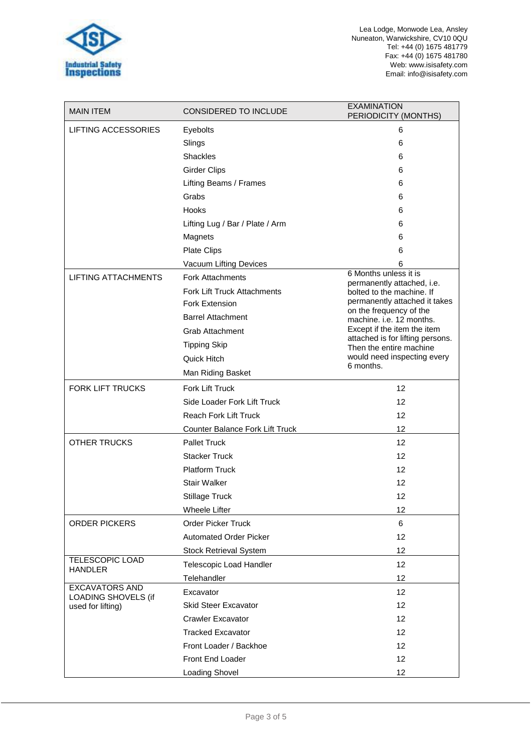

Lea Lodge, Monwode Lea, Ansley Nuneaton, Warwickshire, CV10 0QU Tel: +44 (0) 1675 481779 Fax: +44 (0) 1675 481780 Web: www.isisafety.com Email: info@isisafety.com

| <b>MAIN ITEM</b>                                                  | <b>CONSIDERED TO INCLUDE</b>    | <b>EXAMINATION</b><br>PERIODICITY (MONTHS)                  |
|-------------------------------------------------------------------|---------------------------------|-------------------------------------------------------------|
| <b>LIFTING ACCESSORIES</b>                                        | Eyebolts                        | 6                                                           |
|                                                                   | Slings                          | 6                                                           |
|                                                                   | <b>Shackles</b>                 | 6                                                           |
|                                                                   | <b>Girder Clips</b>             | 6                                                           |
|                                                                   | Lifting Beams / Frames          | 6                                                           |
|                                                                   | Grabs                           | 6                                                           |
|                                                                   | <b>Hooks</b>                    | 6                                                           |
|                                                                   | Lifting Lug / Bar / Plate / Arm | 6                                                           |
|                                                                   | Magnets                         | 6                                                           |
|                                                                   | <b>Plate Clips</b>              | 6                                                           |
|                                                                   | Vacuum Lifting Devices          | 6                                                           |
| <b>LIFTING ATTACHMENTS</b>                                        | <b>Fork Attachments</b>         | 6 Months unless it is<br>permanently attached, i.e.         |
|                                                                   | Fork Lift Truck Attachments     | bolted to the machine. If                                   |
|                                                                   | Fork Extension                  | permanently attached it takes                               |
|                                                                   | <b>Barrel Attachment</b>        | on the frequency of the<br>machine. i.e. 12 months.         |
|                                                                   | Grab Attachment                 | Except if the item the item                                 |
|                                                                   | <b>Tipping Skip</b>             | attached is for lifting persons.<br>Then the entire machine |
|                                                                   | Quick Hitch                     | would need inspecting every                                 |
|                                                                   | Man Riding Basket               | 6 months.                                                   |
| <b>FORK LIFT TRUCKS</b>                                           | Fork Lift Truck                 | 12                                                          |
|                                                                   | Side Loader Fork Lift Truck     | 12                                                          |
|                                                                   | <b>Reach Fork Lift Truck</b>    | 12                                                          |
|                                                                   | Counter Balance Fork Lift Truck | 12                                                          |
| <b>OTHER TRUCKS</b>                                               | <b>Pallet Truck</b>             | 12                                                          |
|                                                                   | <b>Stacker Truck</b>            | 12                                                          |
|                                                                   | <b>Platform Truck</b>           | 12                                                          |
|                                                                   | <b>Stair Walker</b>             | 12                                                          |
|                                                                   | <b>Stillage Truck</b>           | 12                                                          |
|                                                                   | <b>Wheele Lifter</b>            | 12                                                          |
| <b>ORDER PICKERS</b>                                              | <b>Order Picker Truck</b>       | 6                                                           |
|                                                                   | <b>Automated Order Picker</b>   | 12                                                          |
|                                                                   | <b>Stock Retrieval System</b>   | 12                                                          |
| <b>TELESCOPIC LOAD</b><br><b>HANDLER</b>                          | Telescopic Load Handler         | 12                                                          |
|                                                                   | Telehandler                     | 12                                                          |
| <b>EXCAVATORS AND</b><br>LOADING SHOVELS (if<br>used for lifting) | Excavator                       | 12                                                          |
|                                                                   | <b>Skid Steer Excavator</b>     | 12                                                          |
|                                                                   | <b>Crawler Excavator</b>        | 12                                                          |
|                                                                   | <b>Tracked Excavator</b>        | 12                                                          |
|                                                                   | Front Loader / Backhoe          | 12                                                          |
|                                                                   | Front End Loader                | 12                                                          |
|                                                                   | Loading Shovel                  | 12                                                          |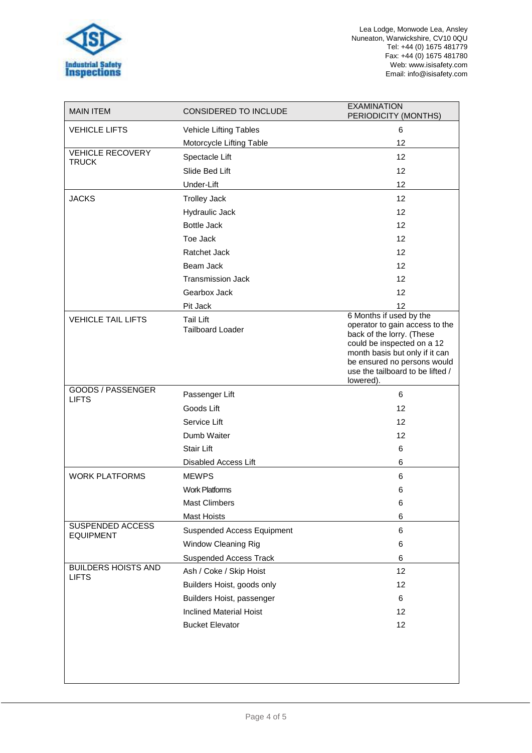

Lea Lodge, Monwode Lea, Ansley Nuneaton, Warwickshire, CV10 0QU Tel: +44 (0) 1675 481779 Fax: +44 (0) 1675 481780 Web: www.isisafety.com Email: info@isisafety.com

| <b>MAIN ITEM</b>                           | <b>CONSIDERED TO INCLUDE</b>                | <b>EXAMINATION</b><br>PERIODICITY (MONTHS)                                                                                                                                                                                             |
|--------------------------------------------|---------------------------------------------|----------------------------------------------------------------------------------------------------------------------------------------------------------------------------------------------------------------------------------------|
| <b>VEHICLE LIFTS</b>                       | Vehicle Lifting Tables                      | 6                                                                                                                                                                                                                                      |
|                                            | Motorcycle Lifting Table                    | 12                                                                                                                                                                                                                                     |
| <b>VEHICLE RECOVERY</b>                    | Spectacle Lift                              | 12                                                                                                                                                                                                                                     |
| <b>TRUCK</b>                               | Slide Bed Lift                              | 12                                                                                                                                                                                                                                     |
|                                            | Under-Lift                                  | 12                                                                                                                                                                                                                                     |
| <b>JACKS</b>                               | <b>Trolley Jack</b>                         | 12                                                                                                                                                                                                                                     |
|                                            | Hydraulic Jack                              | 12                                                                                                                                                                                                                                     |
|                                            | <b>Bottle Jack</b>                          | 12                                                                                                                                                                                                                                     |
|                                            | Toe Jack                                    | 12                                                                                                                                                                                                                                     |
|                                            | <b>Ratchet Jack</b>                         | 12                                                                                                                                                                                                                                     |
|                                            | Beam Jack                                   | 12                                                                                                                                                                                                                                     |
|                                            | <b>Transmission Jack</b>                    | 12                                                                                                                                                                                                                                     |
|                                            | Gearbox Jack                                | 12                                                                                                                                                                                                                                     |
|                                            | Pit Jack                                    | 12                                                                                                                                                                                                                                     |
| <b>VEHICLE TAIL LIFTS</b>                  | <b>Tail Lift</b><br><b>Tailboard Loader</b> | 6 Months if used by the<br>operator to gain access to the<br>back of the lorry. (These<br>could be inspected on a 12<br>month basis but only if it can<br>be ensured no persons would<br>use the tailboard to be lifted /<br>lowered). |
| GOODS / PASSENGER<br><b>LIFTS</b>          | Passenger Lift                              | 6                                                                                                                                                                                                                                      |
|                                            | Goods Lift                                  | 12                                                                                                                                                                                                                                     |
|                                            | Service Lift                                | 12                                                                                                                                                                                                                                     |
|                                            | Dumb Waiter                                 | 12                                                                                                                                                                                                                                     |
|                                            | <b>Stair Lift</b>                           | 6                                                                                                                                                                                                                                      |
|                                            | Disabled Access Lift                        | 6                                                                                                                                                                                                                                      |
| <b>WORK PLATFORMS</b>                      | <b>MEWPS</b>                                | 6                                                                                                                                                                                                                                      |
|                                            | <b>Work Platforms</b>                       | 6                                                                                                                                                                                                                                      |
|                                            | Mast Climbers                               | 6                                                                                                                                                                                                                                      |
|                                            | Mast Hoists                                 | 6                                                                                                                                                                                                                                      |
| SUSPENDED ACCESS<br><b>EQUIPMENT</b>       | <b>Suspended Access Equipment</b>           | 6                                                                                                                                                                                                                                      |
|                                            | <b>Window Cleaning Rig</b>                  | 6                                                                                                                                                                                                                                      |
|                                            | <b>Suspended Access Track</b>               | 6                                                                                                                                                                                                                                      |
| <b>BUILDERS HOISTS AND</b><br><b>LIFTS</b> | Ash / Coke / Skip Hoist                     | 12                                                                                                                                                                                                                                     |
|                                            | Builders Hoist, goods only                  | 12                                                                                                                                                                                                                                     |
|                                            | Builders Hoist, passenger                   | 6                                                                                                                                                                                                                                      |
|                                            | <b>Inclined Material Hoist</b>              | 12                                                                                                                                                                                                                                     |
|                                            | <b>Bucket Elevator</b>                      | 12                                                                                                                                                                                                                                     |
|                                            |                                             |                                                                                                                                                                                                                                        |